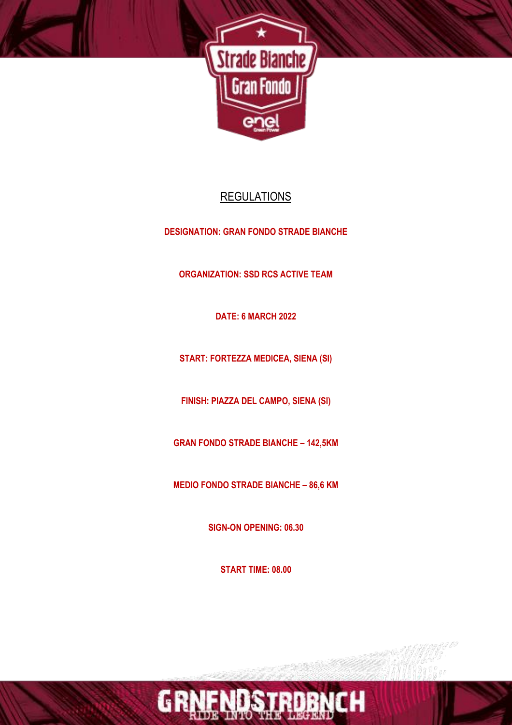

# **REGULATIONS**

**DESIGNATION: GRAN FONDO STRADE BIANCHE**

**ORGANIZATION: SSD RCS ACTIVE TEAM**

**DATE: 6 MARCH 2022**

**START: FORTEZZA MEDICEA, SIENA (SI)**

**FINISH: PIAZZA DEL CAMPO, SIENA (SI)**

**GRAN FONDO STRADE BIANCHE – 142,5KM**

**MEDIO FONDO STRADE BIANCHE – 86,6 KM**

**SIGN-ON OPENING: 06.30**

**START TIME: 08.00**

DBNCH

GR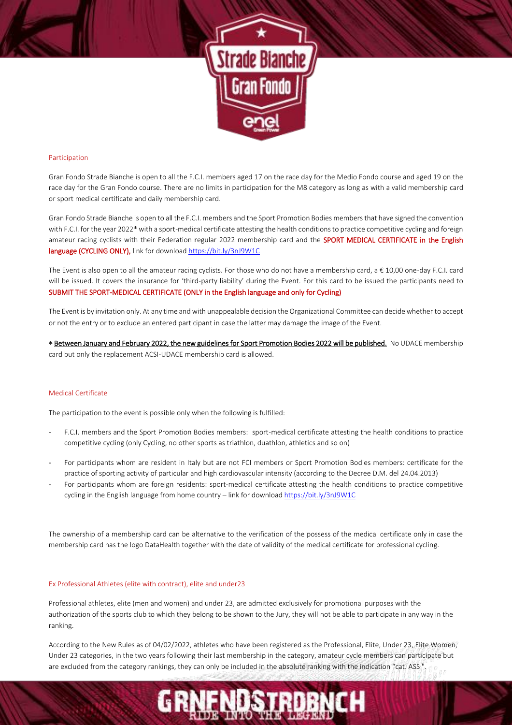

# Participation

Gran Fondo Strade Bianche is open to all the F.C.I. members aged 17 on the race day for the Medio Fondo course and aged 19 on the race day for the Gran Fondo course. There are no limits in participation for the M8 category as long as with a valid membership card or sport medical certificate and daily membership card.

Gran Fondo Strade Bianche is open to all the F.C.I. members and the Sport Promotion Bodies members that have signed the convention with F.C.I. for the year 2022\* with a sport-medical certificate attesting the health conditions to practice competitive cycling and foreign amateur racing cyclists with their Federation regular 2022 membership card and the SPORT MEDICAL CERTIFICATE in the English language (CYCLING ONLY), link for downloa[d https://bit.ly/3nJ9W1C](https://bit.ly/3nJ9W1C)

The Event is also open to all the amateur racing cyclists. For those who do not have a membership card,  $a \in 10,00$  one-day F.C.I. card will be issued. It covers the insurance for 'third-party liability' during the Event. For this card to be issued the participants need to SUBMIT THE SPORT-MEDICAL CERTIFICATE (ONLY in the English language and only for Cycling)

The Event is by invitation only. At any time and with unappealable decision the Organizational Committee can decide whether to accept or not the entry or to exclude an entered participant in case the latter may damage the image of the Event.

\* Between January and February 2022, the new guidelines for Sport Promotion Bodies 2022 will be published. No UDACE membership card but only the replacement ACSI-UDACE membership card is allowed.

# Medical Certificate

The participation to the event is possible only when the following is fulfilled:

- F.C.I. members and the Sport Promotion Bodies members: sport-medical certificate attesting the health conditions to practice competitive cycling (only Cycling, no other sports as triathlon, duathlon, athletics and so on)
- For participants whom are resident in Italy but are not FCI members or Sport Promotion Bodies members: certificate for the practice of sporting activity of particular and high cardiovascular intensity (according to the Decree D.M. del 24.04.2013)
- For participants whom are foreign residents: sport-medical certificate attesting the health conditions to practice competitive cycling in the English language from home country – link for downloa[d https://bit.ly/3nJ9W1C](https://bit.ly/3nJ9W1C)

The ownership of a membership card can be alternative to the verification of the possess of the medical certificate only in case the membership card has the logo DataHealth together with the date of validity of the medical certificate for professional cycling.

### Ex Professional Athletes (elite with contract), elite and under23

Professional athletes, elite (men and women) and under 23, are admitted exclusively for promotional purposes with the authorization of the sports club to which they belong to be shown to the Jury, they will not be able to participate in any way in the ranking.

According to the New Rules as of 04/02/2022, athletes who have been registered as the Professional, Elite, Under 23, Elite Women, Under 23 categories, in the two years following their last membership in the category, amateur cycle members can participate but are excluded from the category rankings, they can only be included in the absolute ranking with the indication "cat. ASS ".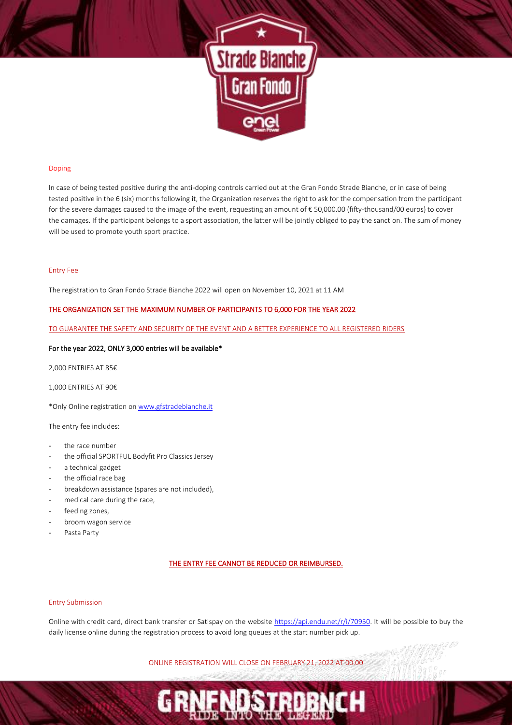

# Doping

In case of being tested positive during the anti-doping controls carried out at the Gran Fondo Strade Bianche, or in case of being tested positive in the 6 (six) months following it, the Organization reserves the right to ask for the compensation from the participant for the severe damages caused to the image of the event, requesting an amount of € 50,000.00 (fifty-thousand/00 euros) to cover the damages. If the participant belongs to a sport association, the latter will be jointly obliged to pay the sanction. The sum of money will be used to promote youth sport practice.

### Entry Fee

The registration to Gran Fondo Strade Bianche 2022 will open on November 10, 2021 at 11 AM

# THE ORGANIZATION SET THE MAXIMUM NUMBER OF PARTICIPANTS TO 6,000 FOR THE YEAR 2022

TO GUARANTEE THE SAFETY AND SECURITY OF THE EVENT AND A BETTER EXPERIENCE TO ALL REGISTERED RIDERS

# For the year 2022, ONLY 3,000 entries will be available\*

2,000 ENTRIES AT 85€

1,000 ENTRIES AT 90€

\*Only Online registration o[n www.gfstradebianche.it](http://www.gfstradebianche.it/)

The entry fee includes:

- the race number
- the official SPORTFUL Bodyfit Pro Classics Jersey
- a technical gadget
- the official race bag
- breakdown assistance (spares are not included),
- medical care during the race,
- feeding zones,
- broom wagon service
- Pasta Party

# THE ENTRY FEE CANNOT BE REDUCED OR REIMBURSED.

# Entry Submission

Online with credit card, direct bank transfer or Satispay on the website [https://api.endu.net/r/i/70950.](https://api.endu.net/r/i/70950) It will be possible to buy the daily license online during the registration process to avoid long queues at the start number pick up.

ONLINE REGISTRATION WILL CLOSE ON FEBRUARY 21, 2022 AT 00.00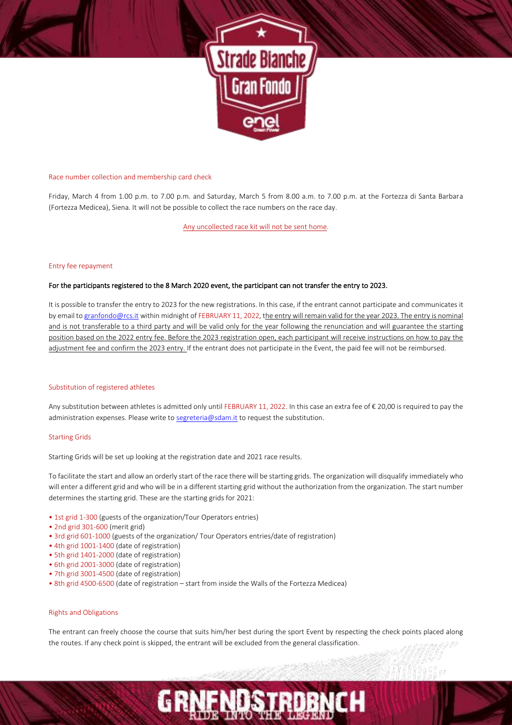

# Race number collection and membership card check

Friday, March 4 from 1.00 p.m. to 7.00 p.m. and Saturday, March 5 from 8.00 a.m. to 7.00 p.m. at the Fortezza di Santa Barbara (Fortezza Medicea), Siena. It will not be possible to collect the race numbers on the race day.

# Any uncollected race kit will not be sent home.

### Entry fee repayment

# For the participants registered to the 8 March 2020 event, the participant can not transfer the entry to 2023.

It is possible to transfer the entry to 2023 for the new registrations. In this case, if the entrant cannot participate and communicates it by email t[o granfondo@rcs.it](mailto:granfondo@rcs.it) within midnight of FEBRUARY 11, 2022, the entry will remain valid for the year 2023. The entry is nominal and is not transferable to a third party and will be valid only for the year following the renunciation and will guarantee the starting position based on the 2022 entry fee. Before the 2023 registration open, each participant will receive instructions on how to pay the adjustment fee and confirm the 2023 entry. If the entrant does not participate in the Event, the paid fee will not be reimbursed.

### Substitution of registered athletes

Any substitution between athletes is admitted only until FEBRUARY 11, 2022. In this case an extra fee of € 20,00 is required to pay the administration expenses. Please write to [segreteria@sdam.it](mailto:segreteria@sdam.it) to request the substitution.

# Starting Grids

Starting Grids will be set up looking at the registration date and 2021 race results.

To facilitate the start and allow an orderly start of the race there will be starting grids. The organization will disqualify immediately who will enter a different grid and who will be in a different starting grid without the authorization from the organization. The start number determines the starting grid. These are the starting grids for 2021:

- 1st grid 1-300 (guests of the organization/Tour Operators entries)
- 2nd grid 301-600 (merit grid)
- 3rd grid 601-1000 (guests of the organization/ Tour Operators entries/date of registration)
- 4th grid 1001-1400 (date of registration)
- 5th grid 1401-2000 (date of registration)
- 6th grid 2001-3000 (date of registration)
- 7th grid 3001-4500 (date of registration)
- 8th grid 4500-6500 (date of registration start from inside the Walls of the Fortezza Medicea)

### Rights and Obligations

The entrant can freely choose the course that suits him/her best during the sport Event by respecting the check points placed along the routes. If any check point is skipped, the entrant will be excluded from the general classification.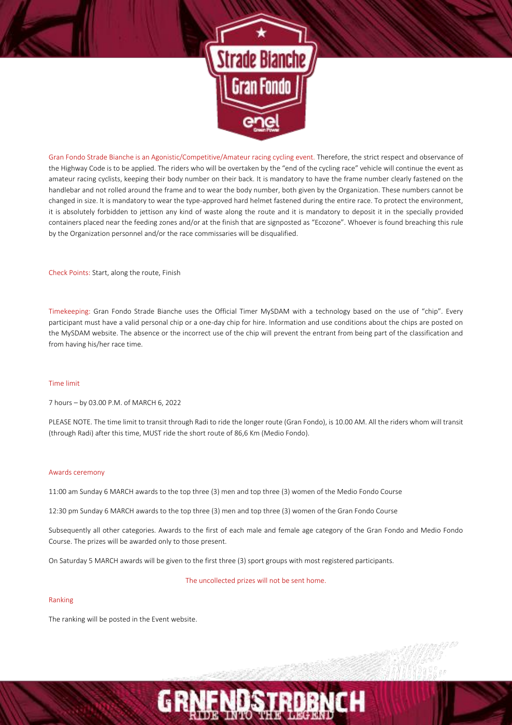

Gran Fondo Strade Bianche is an Agonistic/Competitive/Amateur racing cycling event. Therefore, the strict respect and observance of the Highway Code is to be applied. The riders who will be overtaken by the "end of the cycling race" vehicle will continue the event as amateur racing cyclists, keeping their body number on their back. It is mandatory to have the frame number clearly fastened on the handlebar and not rolled around the frame and to wear the body number, both given by the Organization. These numbers cannot be changed in size. It is mandatory to wear the type-approved hard helmet fastened during the entire race. To protect the environment, it is absolutely forbidden to jettison any kind of waste along the route and it is mandatory to deposit it in the specially provided containers placed near the feeding zones and/or at the finish that are signposted as "Ecozone". Whoever is found breaching this rule by the Organization personnel and/or the race commissaries will be disqualified.

Check Points: Start, along the route, Finish

Timekeeping: Gran Fondo Strade Bianche uses the Official Timer MySDAM with a technology based on the use of "chip". Every participant must have a valid personal chip or a one-day chip for hire. Information and use conditions about the chips are posted on the MySDAM website. The absence or the incorrect use of the chip will prevent the entrant from being part of the classification and from having his/her race time.

#### Time limit

7 hours – by 03.00 P.M. of MARCH 6, 2022

PLEASE NOTE. The time limit to transit through Radi to ride the longer route (Gran Fondo), is 10.00 AM. All the riders whom will transit (through Radi) after this time, MUST ride the short route of 86,6 Km (Medio Fondo).

#### Awards ceremony

11:00 am Sunday 6 MARCH awards to the top three (3) men and top three (3) women of the Medio Fondo Course

12:30 pm Sunday 6 MARCH awards to the top three (3) men and top three (3) women of the Gran Fondo Course

Subsequently all other categories. Awards to the first of each male and female age category of the Gran Fondo and Medio Fondo Course. The prizes will be awarded only to those present.

On Saturday 5 MARCH awards will be given to the first three (3) sport groups with most registered participants.

The uncollected prizes will not be sent home.

# Ranking

The ranking will be posted in the Event website.

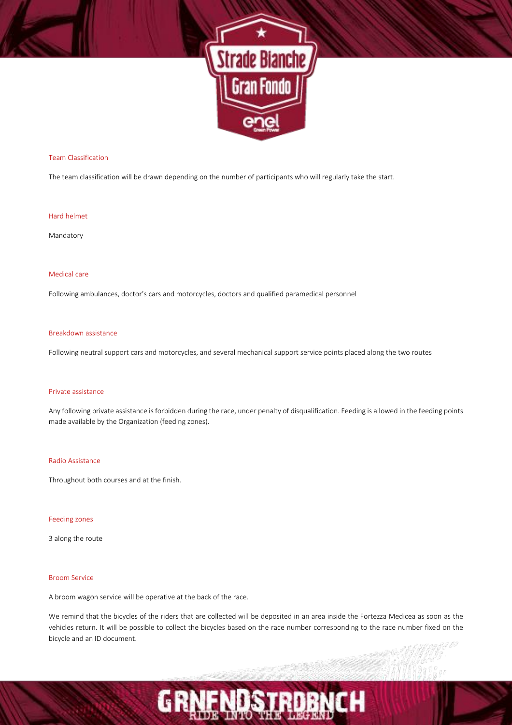

# Team Classification

The team classification will be drawn depending on the number of participants who will regularly take the start.

# Hard helmet

Mandatory

# Medical care

Following ambulances, doctor's cars and motorcycles, doctors and qualified paramedical personnel

# Breakdown assistance

Following neutral support cars and motorcycles, and several mechanical support service points placed along the two routes

### Private assistance

Any following private assistance is forbidden during the race, under penalty of disqualification. Feeding is allowed in the feeding points made available by the Organization (feeding zones).

### Radio Assistance

Throughout both courses and at the finish.

### Feeding zones

3 along the route

# Broom Service

A broom wagon service will be operative at the back of the race.

We remind that the bicycles of the riders that are collected will be deposited in an area inside the Fortezza Medicea as soon as the vehicles return. It will be possible to collect the bicycles based on the race number corresponding to the race number fixed on the bicycle and an ID document.